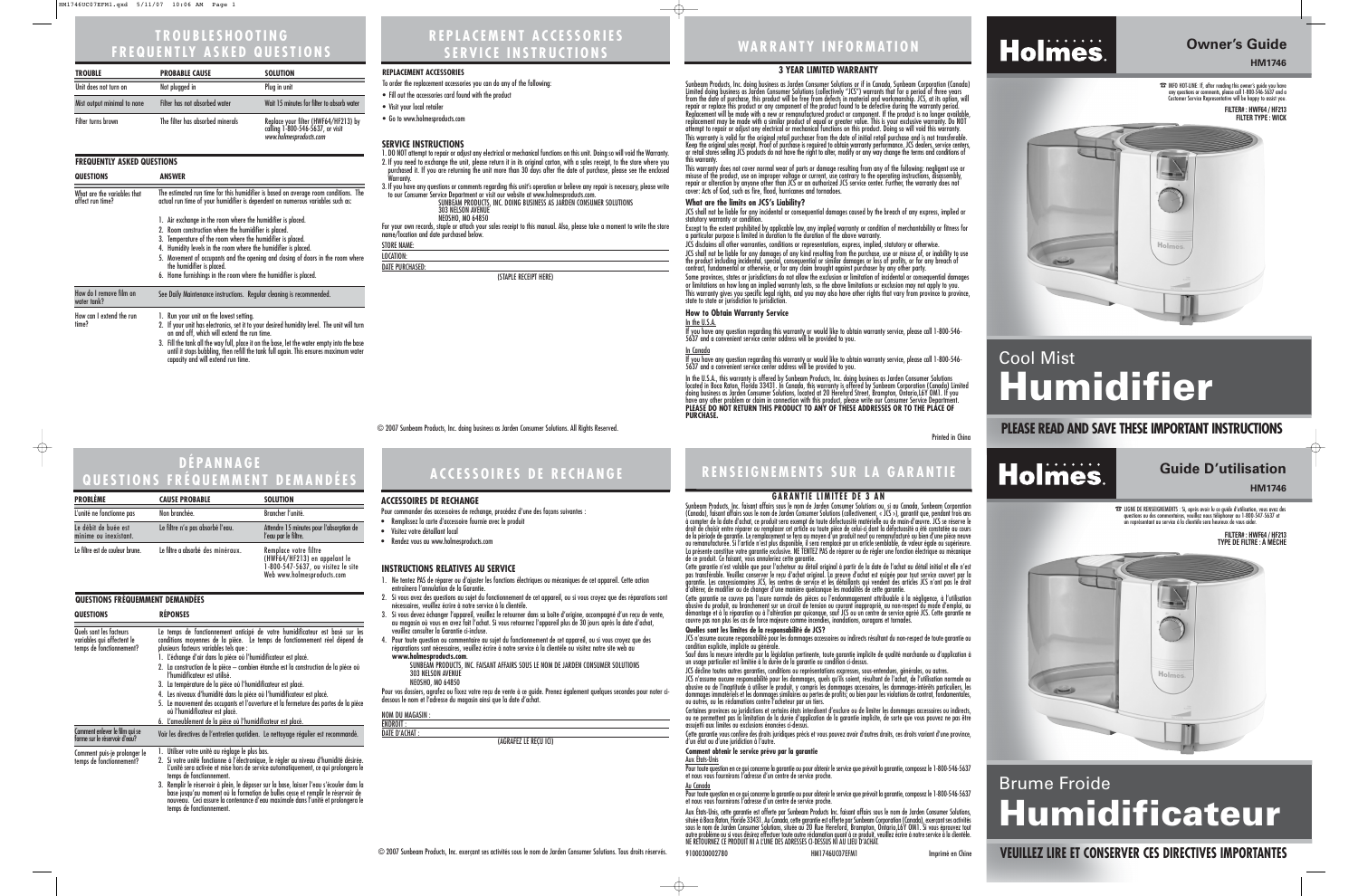# **WARRANTY INFORMATION**

## **PLEASE READ AND SAVE THESE IMPORTANT INSTRUCTIONS**



# **Owner's Guide**

**HM1746**

☎INFO HOT-LINE: If, after reading this owner's guide you have any questions or comments, please call 1-800-546-5637 and a Customer Service Representative will be happy to assist you. **FILTER# : HWF64 / HF213 FILTER TYPE : WICK**



# Cool Mist **Humidifier**

## **REPLACEMENT ACCESSORIES SERVICE INSTRUCTIONS**

### **SERVICE INSTRUCTIONS**

- 1. DO NOT attempt to repair or adjust any electrical or mechanical functions on this unit. Doing so will void the Warranty. 2. If you need to exchange the unit, please return it in its original carton, with a sales receipt, to the store where you purchased it. If you are returning the unit more than 30 days after the date of purchase, please see the enclosed Warranty.
- 3. If you have any questions or comments regarding this unit's operation or believe any repair is necessary, please write
- to our Consumer Service Department or visit our website at www.holmesproducts.com. SUNBEAM PRODUCTS, INC. DOING BUSINESS AS JARDEN CONSUMER SOLUTIONS 303 NELSON AVENUE

NEOSHO, MO 64850

For your own records, staple or attach your sales receipt to this manual. Also, please take a moment to write the store name/location and date purchased below.

### STORE NAME:

LOCATION: DATE PURCHASED:

(STAPLE RECEIPT HERE)

| <b>TROUBLE</b>              | <b>PROBABLE CAUSE</b>            | <b>SOLUTION</b>                                                                                    |
|-----------------------------|----------------------------------|----------------------------------------------------------------------------------------------------|
| Unit does not turn on       | Not plugged in                   | Plug in unit                                                                                       |
| Mist output minimal to none | Filter has not absorbed water    | Wait 15 minutes for filter to absorb water                                                         |
| Filter turns brown          | The filter has absorbed minerals | Replace your filter (HWF64/HF213) by<br>calling 1-800-546-5637, or visit<br>www.holmesproducts.com |

ENDROIT : DATE D'ACHAT

### **FREQUENTLY ASKED QUESTIONS**

### **REPLACEMENT ACCESSORIES**

- To order the replacement accessories you can do any of the following:
- Fill out the accessories card found with the product
- Visit your local retailer
- Go to www.holmesproducts.com

# **TROUBLESHOOTING FREQUENTLY ASKED QUESTIONS**

# **ACCESSOIRES DE RECHANGE RENSEIGNEMENTS SUR LA GARANTIE**

### **INSTRUCTIONS RELATIVES AU SERVICE**

- 1. Ne tentez PAS de réparer ou d'ajuster les fonctions électriques ou mécaniques de cet appareil. Cette action entraînera l'annulation de la Garantie.
- 2. Si vous avez des questions au sujet du fonctionnement de cet appareil, ou si vous croyez que des réparations sont nécessaires, veuillez écrire à notre service à la clientèle.
- 3. Si vous devez échanger l'appareil, veuillez le retourner dans sa boîte d'origine, accompagné d'un reçu de vente, au magasin où vous en avez fait l'achat. Si vous retournez l'appareil plus de 30 jours après la date d'achat, veuillez consulter la Garantie ci-incluse.
- 4. Pour toute question ou commentaire au sujet du fonctionnement de cet appareil, ou si vous croyez que des réparations sont nécessaires, veuillez écrire à notre service à la clientèle ou visitez notre site web au **www.holmesproducts.com**.
	- SUNBEAM PRODUCTS, INC. FAISANT AFFAIRS SOUS LE NOM DE JARDEN CONSUMER SOLUTIONS 303 NELSON AVENUE

NEOSHO, MO 64850

Pour vos dossiers, agrafez ou fixez votre reçu de vente à ce guide. Prenez également quelques secondes pour noter cidessous le nom et l'adresse du magasin ainsi que la date d'achat.

**NOM DU MAGASIN** 

(AGRAFEZ LE REÇU ICI)

## **VEUILLEZ LIRE ET CONSERVER CES DIRECTIVES IMPORTANTES**

# **Guide D'utilisation**

**HM1746**

☎ LIGNE DE RENSEIGNEMENTS : Si, après avoir lu ce guide d'utilisation, vous avez des questions ou des commentaires, veuillez nous téléphoner au 1-800-547-5637 et un représentant au service à la clientèle sera heureux de vous aider.

# Brume Froide **Humidificateur**

**FILTER# : HWF64 / HF213 TYPE DE FILTRE : À MÈCHE**



Sunbeam Products, Inc. doing business as Jarden Consumer Solutions or if in Canada, Sunbeam Corporation (Canada) Limited doing business as Jarden Consumer Solutions (collectively "JCS") warrants that for a period of three years from the date of purchase, this product will be free from defects in material and workmanship. JCS, at its option, will repair or replace this product or any component of the product found to be defective during the warranty period. Replacement will be made with a new or remanufactured product or component. If the product is no longer available, replacement may be made with a similar product of equal or greater value. This is your exclusive warranty. Do NOT attempt to repair or adjust any electrical or mechanical functions on this product. Doing so will void this warranty. This warranty is valid for the original retail purchaser from the date of initial retail purchase and is not transferable. Keep the original sales receipt. Proof of purchase is required to obtain warranty performance. JCS dealers, service centers,<br>The original sales receipt. Proof of purchase is required to obtain warranty performance. JCS dea

### **ACCESSOIRES DE RECHANGE**

Pour commander des accessoires de rechange, procédez d'une des façons suivantes

- Remplissez la carte d'accessoire fournie avec le produit
- Visitez votre détaillant local
- Rendez vous au www.holmesproducts.com

# **DÉPANNAGE QUESTIONS FRÉQUEMMENT DEMANDÉES**

| <b>QUESTIONS</b>                                | <b>ANSWER</b>                                                                                                                                                                                                                                                                                                                                                                                                                          |  |
|-------------------------------------------------|----------------------------------------------------------------------------------------------------------------------------------------------------------------------------------------------------------------------------------------------------------------------------------------------------------------------------------------------------------------------------------------------------------------------------------------|--|
| What are the variables that<br>affect run time? | The estimated run time for this humidifier is based on average room conditions. The<br>actual run time of your humidifier is dependent on numerous variables such as:                                                                                                                                                                                                                                                                  |  |
|                                                 | 1. Air exchange in the room where the humidifier is placed.<br>2. Room construction where the humidifier is placed.<br>3. Temperature of the room where the humidifier is placed.<br>4. Humidity levels in the room where the humidifier is placed.<br>5. Movement of occupants and the opening and closing of doors in the room where<br>the humidifier is placed.<br>6. Home furnishings in the room where the humidifier is placed. |  |
| How do I remove film on<br>water tank?          | See Daily Maintenance instructions. Regular cleaning is recommended.                                                                                                                                                                                                                                                                                                                                                                   |  |
| How can I extend the run<br>time?               | 1. Run your unit on the lowest setting.<br>2. If your unit has electronics, set it to your desired humidity level. The unit will turn<br>on and off, which will extend the run time.<br>3. Fill the tank all the way full, place it on the base, let the water empty into the base<br>until it stops bubbling, then refill the tank full again. This ensures maximum water                                                             |  |

capacity and will extend run time.

| <b>PROBLÈME</b>                               | <b>CAUSE PROBABLE</b>             | <b>SOLUTION</b>                                                                             |
|-----------------------------------------------|-----------------------------------|---------------------------------------------------------------------------------------------|
| L'unité ne fonctionne pas                     | Non branchée.                     | Brancher l'unité.                                                                           |
| Le débit de buée est<br>minime ou inexistant. | Le filtre n'a pas absorbé l'eau.  | Attendre 15 minutes pour l'absorption de<br>l'eau par le filtre.                            |
| Le filtre est de couleur brune.               | Le filtre a absorbé des minéraux. | Remplace votre filtre<br>(HWF64/HF213) en appelant le<br>1-800-547-5637, ou visitez le site |

Web www.holmesproducts.com

**QUESTIONS FRÉQUEMMENT DEMANDÉES**

| <b>QUESTIONS</b>                                                                  | <b>REPONSES</b>                                                                                                                                                                                                                                                                                                                                                                                                                                                                                                                                                                                                                                                                                                                    |
|-----------------------------------------------------------------------------------|------------------------------------------------------------------------------------------------------------------------------------------------------------------------------------------------------------------------------------------------------------------------------------------------------------------------------------------------------------------------------------------------------------------------------------------------------------------------------------------------------------------------------------------------------------------------------------------------------------------------------------------------------------------------------------------------------------------------------------|
| Quels sont les facteurs<br>variables qui affectent le<br>temps de fonctionnement? | Le temps de fonctionnement anticipé de votre humidificateur est basé sur les<br>conditions moyennes de la pièce. Le temps de fonctionnement réel dépend de<br>plusieurs facteurs variables tels que :<br>1. L'échange d'air dans la pièce où l'humidificateur est placé.<br>2. La construction de la pièce - combien étanche est la construction de la pièce où<br>l'humidificateur est utilisé.<br>3. La température de la pièce où l'humidificateur est placé.<br>4. Les niveaux d'humidité dans la pièce où l'humidificateur est placé.<br>5. Le mouvement des occupants et l'ouverture et la fermeture des portes de la pièce<br>où l'humidificateur est placé.<br>6. L'ameublement de la pièce où l'humidificateur est placé. |
| Comment enlever le film qui se<br>forme sur le réservoir d'eau?                   | Voir les directives de l'entretien quotidien. Le nettoyage régulier est recommandé.                                                                                                                                                                                                                                                                                                                                                                                                                                                                                                                                                                                                                                                |
| Comment puis-je prolonger le<br>temps de fonctionnement?                          | 1. Utiliser votre unité au réglage le plus bas.<br>2. Si votre unité fonctionne à l'électronique, le régler au niveau d'humidité désirée.<br>L'unité sera activée et mise hors de service automatiquement, ce qui prolongera le<br>temps de fonctionnement.<br>3. Remplir le réservoir à plein, le déposer sur la base, laisser l'eau s'écouler dans la<br>base jusqu'au moment où la formation de bulles cesse et remplir le réservoir de<br>nouveau. Ceci assure la contenance d'eau maximale dans l'unité et prolongera le<br>temps de fonctionnement.                                                                                                                                                                          |

Cette garantie ne couvre pas l'usure normale des pièces ou l'endommagement attribuable à la négligence, à l'utilisation abusive du produit, au branchement sur un circuit de tension ou courant inapproprié, au non-respect du mode d'emploi, au démontage et à la réparation ou à l'altération par quiconque, sauf JCS ou un centre de service agréé JCS. Cette garantie ne couvre pas non plus les cas de force majeure comme incendies, inondations, ouragans et tornades.

Printed in China

9100030002780 HM1746UC07EFM1 Imprimé en Chine

# Holmes.

### © 2007 Sunbeam Products, Inc. doing business as Jarden Consumer Solutions. All Rights Reserved.

### **3 YEAR LIMITED WARRANTY**

Aux États-Unis, cette garantie est offerte par Sunbeam Products Inc. faisant affairs sous le nom de Jarden Consumer Solutions, située à Boca Raton, Floride 33431. Au Canada, cette garantie est offerte par Sunbeam Corporation (Canada), exerçant ses activités sous le nom de Jarden Consumer Solutions, située au 20 Rue Hereford, Brampton, Ontario,L6Y OM1. Si vous éprouvez tout<br>autre problème ou si vous désirez effectuer toute autre réclamation quant à ce produit, veuillez écrire

This warranty does not cover normal wear of parts or damage resulting from any of the following: negligent use or misuse of the product, use on improper voltage or current, use contrary to the operating instructions, disassembly, repair or alteration by anyone other than JCS or an authorized JCS service center. Further, the warranty does not cover: Acts of God, such as fire, flood, hurricanes and tornadoes.

### **What are the limits on JCS's Liability?**

JCS shall not be liable for any incidental or consequential damages caused by the breach of any express, implied or statutory warranty or condition.

Except to the extent prohibited by applicable law, any implied warranty or condition of merchantability or fitness for a particular purpose is limited in duration to the duration of the above warranty.

JCS disclaims all other warranties, conditions or representations, express, implied, statutory or otherwise. JCS shall not be liable for any damages of any kind resulting from the purchase, use or misuse of, or inability to use the product including incidental, special, consequential or similar damages or loss of profits, or for any breach of contract, fundamental or otherwise, or for any claim brought against purchaser by any other party.

Some provinces, states or jurisdictions do not allow the exclusion or limitation of incidental or consequential damages or limitations on how long an implied warranty lasts, so the above limitations or exclusion may not apply to you. This warranty gives you specific legal rights, and you may also have other rights that vary from province to province, state to state or jurisdiction to jurisdiction.

### **How to Obtain Warranty Service**

In the U.S.A. In Canada

If you have any question regarding this warranty or would like to obtain warranty service, please call 1-800-546- 5637 and a convenient service center address will be provided to you.

If you have any question regarding this warranty or would like to obtain warranty service, please call 1-800-546- 5637 and a convenient service center address will be provided to you.

In the U.S.A., this warranty is offered by Sunbeam Products, Inc. doing business as Jarden Consumer Solutions located in Boca Raton, Florida 33431. In Canada, this warranty is offered by Sunbeam Corporation (Canada) Limited doing business as Jarden Consumer Solutions, located at 20 Hereford Street, Brampton, Ontario,L6Y OM1. If you have any other problem or claim in connection with this product, please write our Consumer Service Department. **PLEASE DO NOT RETURN THIS PRODUCT TO ANY OF THESE ADDRESSES OR TO THE PLACE OF PURCHASE.** 

### **GARANTIE LIMITÉE DE 3 AN**

Sunbeam Products, Inc. faisant affairs sous le nom de Jarden Consumer Solutions ou, si au Canada, Sunbeam Corporation (Canada), faisant affairs sous le nom de Jarden Consumer Solutions (collectivement, « JCS »), garantit que, pendant trois ans à compter de la date d'achat, ce produit sera exempt de toute défectuosité matérielle ou de main-d'œuvre. JCS se réserve le droit de choisir entre réparer ou remplacer cet article ou toute pièce de celui-ci dont la défectuosité a été constatée au cours de la période de garantie. Le remplacement se fera au moyen d'un produit neuf ou remanufacturé ou bien d'une pièce neuve ou remanufacturée. Si l'article n'est plus disponible, il sera remplacé par un article semblable, de valeur égale ou supérieure.<br>La présente constitue votre garantie exclusive. NE TENTEZ PAS de réparer ou de régler une fon de ce produit. Ce faisant, vous annuleriez cette garantie.

Cette garantie n'est valable que pour l'acheteur au détail original à partir de la date de l'achat au détail initial et elle n'est pas transférable. Veuillez conserver le reçu d'achat original. La preuve d'achat est exigée pour tout service couvert par la garantie. Les concessionnaires JCS, les centres de service et les détaillants qui vendent des articles JCS n'ont pas le droit d'altérer, de modifier ou de changer d'une manière quelconque les modalités de cette garantie.

### **Quelles sont les limites de la responsabilité de JCS?**

JCS n'assume aucune responsabilité pour les dommages accessoires ou indirects résultant du non-respect de toute garantie ou condition explicite, implicite ou générale.

Sauf dans la mesure interdite par la législation pertinente, toute garantie implicite de qualité marchande ou d'application à un usage particulier est limitée à la durée de la garantie ou condition ci-dessus.

JCS décline toutes autres garanties, conditions ou représentations expresses, sous-entendues, générales, ou autres.

JCS n'assume aucune responsabilité pour les dommages, quels qu'ils soient, résultant de l'achat, de l'utilisation normale ou abusive ou de l'inaptitude à utiliser le produit, y compris les dommages accessoires, les dommages-intérêts particuliers, les dommages immatériels et les dommages similaires ou pertes de profits; ou bien pour les violations de contrat, fondamentales,

ou autres, ou les réclamations contre l'acheteur par un tiers. Certaines provinces ou juridictions et certains états interdisent d'exclure ou de limiter les dommages accessoires ou indirects,<br>ou ne permettent pas la limitation de la durée d'application de la garantie implicite, de sor assujetti aux limites ou exclusions énoncées ci-dessus.

Cette garantie vous confère des droits juridiques précis et vous pouvez avoir d'autres droits, ces droits variant d'une province, d'un état ou d'une juridiction à l'autre.

### **Comment obtenir le service prévu par la garantie**

Pour toute question en ce qui concerne la garantie ou pour obtenir le service que prévoit la garantie, composez le 1-800-546-5637 et nous vous fournirons l'adresse d'un centre de service proche.

Pour toute question en ce qui concerne la garantie ou pour obtenir le service que prévoit la garantie, composez le 1-800-546-5637 et nous vous fournirons l'adresse d'un centre de service proche.